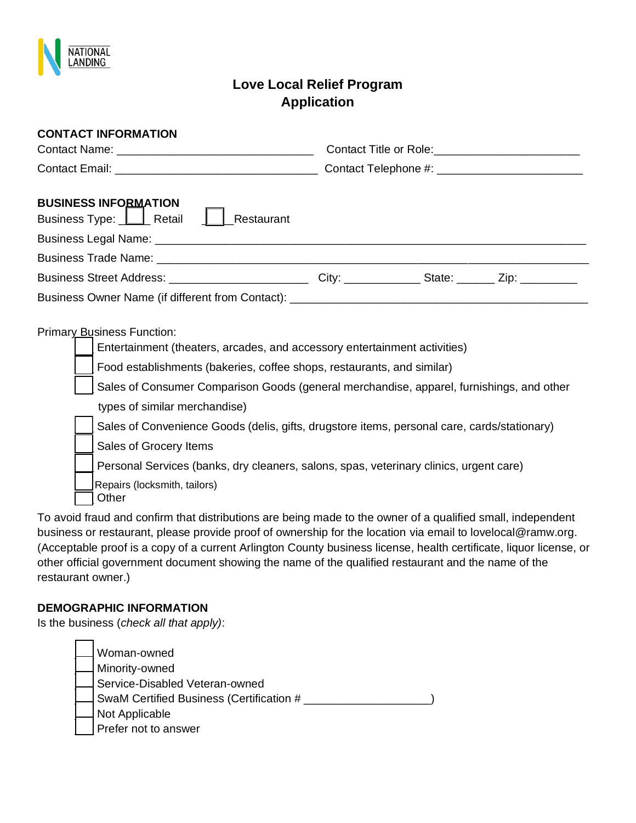

# **Love Local Relief Program Application**

| <b>CONTACT INFORMATION</b>                                                                                                                                                                                                                                                                                                                                                      |                                                                                                                                                                                         |
|---------------------------------------------------------------------------------------------------------------------------------------------------------------------------------------------------------------------------------------------------------------------------------------------------------------------------------------------------------------------------------|-----------------------------------------------------------------------------------------------------------------------------------------------------------------------------------------|
|                                                                                                                                                                                                                                                                                                                                                                                 |                                                                                                                                                                                         |
|                                                                                                                                                                                                                                                                                                                                                                                 |                                                                                                                                                                                         |
| <b>BUSINESS INFORMATION</b><br>Business Type:   Retail    <br>Restaurant                                                                                                                                                                                                                                                                                                        |                                                                                                                                                                                         |
|                                                                                                                                                                                                                                                                                                                                                                                 |                                                                                                                                                                                         |
|                                                                                                                                                                                                                                                                                                                                                                                 |                                                                                                                                                                                         |
| Business Street Address: ________________________________City: _________________State: _________Zip: _________                                                                                                                                                                                                                                                                  |                                                                                                                                                                                         |
| Business Owner Name (if different from Contact): ________________________________                                                                                                                                                                                                                                                                                               |                                                                                                                                                                                         |
| Primary Business Function:<br>Entertainment (theaters, arcades, and accessory entertainment activities)<br>Food establishments (bakeries, coffee shops, restaurants, and similar)<br>types of similar merchandise)<br>Sales of Grocery Items<br>Personal Services (banks, dry cleaners, salons, spas, veterinary clinics, urgent care)<br>Repairs (locksmith, tailors)<br>Other | Sales of Consumer Comparison Goods (general merchandise, apparel, furnishings, and other<br>Sales of Convenience Goods (delis, gifts, drugstore items, personal care, cards/stationary) |

To avoid fraud and confirm that distributions are being made to the owner of a qualified small, independent business or restaurant, please provide proof of ownership for the location via email to lovelocal@ramw.org. (Acceptable proof is a copy of a current Arlington County business license, health certificate, liquor license, or other official government document showing the name of the qualified restaurant and the name of the restaurant owner.)

### **DEMOGRAPHIC INFORMATION**

Is the business (*check all that apply)*:

Woman-owned Minority-owned Service-Disabled Veteran-owned SwaM Certified Business (Certification # \_\_\_\_\_\_\_\_\_\_\_\_\_\_\_\_\_\_\_\_\_) Not Applicable Prefer not to answer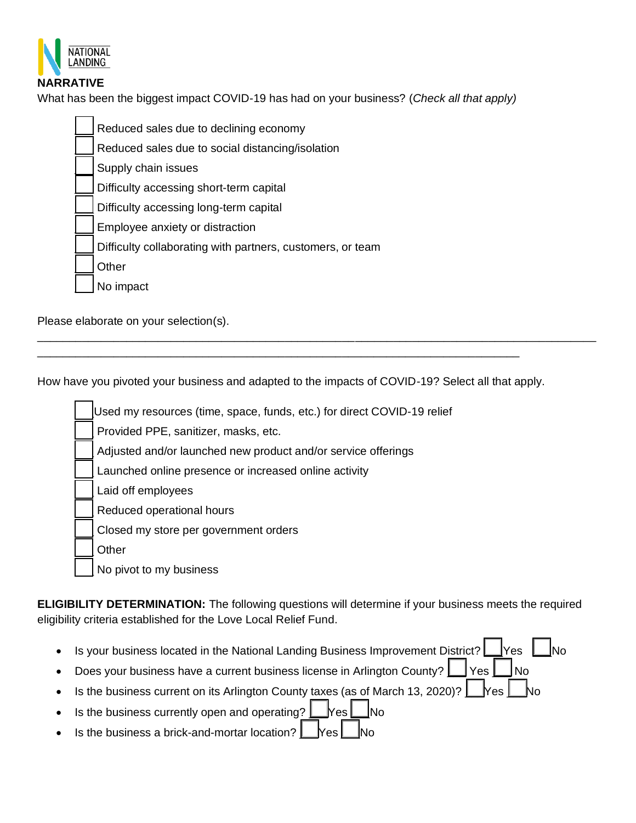

## **NARRATIVE**

What has been the biggest impact COVID-19 has had on your business? (*Check all that apply)*

| Reduced sales due to declining economy                     |
|------------------------------------------------------------|
| Reduced sales due to social distancing/isolation           |
| Supply chain issues                                        |
| Difficulty accessing short-term capital                    |
| Difficulty accessing long-term capital                     |
| Employee anxiety or distraction                            |
| Difficulty collaborating with partners, customers, or team |
| Other                                                      |
| No impact                                                  |
|                                                            |

Please elaborate on your selection(s).

How have you pivoted your business and adapted to the impacts of COVID-19? Select all that apply.

\_\_\_\_\_\_\_\_\_\_\_\_\_\_\_\_\_\_\_\_\_\_\_\_\_\_\_\_\_\_\_\_\_\_\_\_\_\_\_\_\_\_\_\_\_\_\_\_\_\_\_\_\_\_\_\_\_\_\_\_\_\_\_\_\_\_\_\_\_\_\_\_\_\_\_\_

\_\_\_\_\_\_\_\_\_\_\_\_\_\_\_\_\_\_\_\_\_\_\_\_\_\_\_\_\_\_\_\_\_\_\_\_\_\_\_\_\_\_\_\_\_\_\_\_\_\_\_\_\_\_\_\_\_\_\_\_\_\_\_\_\_\_\_\_\_\_\_\_\_\_\_\_\_\_\_\_\_\_\_\_\_\_\_\_

\_\_\_Used my resources (time, space, funds, etc.) for direct COVID-19 relief

Provided PPE, sanitizer, masks, etc.

Adjusted and/or launched new product and/or service offerings

Launched online presence or increased online activity

Laid off employees

Reduced operational hours

Closed my store per government orders

\_\_\_ Other

No pivot to my business

**ELIGIBILITY DETERMINATION:** The following questions will determine if your business meets the required eligibility criteria established for the Love Local Relief Fund.

Is your business located in the National Landing Business Improvement District?  $\Box$  Yes  $\Box$  No

Does your business have a current business license in Arlington County?  $\Box$  Yes  $\Box$  No

- Is the business current on its Arlington County taxes (as of March 13, 2020)?  $\Box$  Yes  $\Box$  No
- Is the business currently open and operating?  $\Box$  Yes  $\Box$  No
- Is the business a brick-and-mortar location?  $\Box$  Yes  $\Box$  No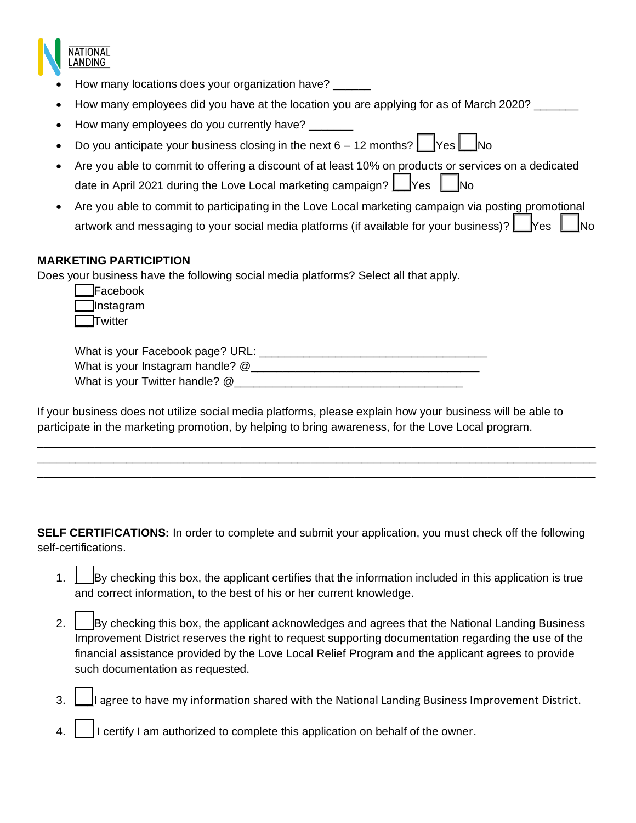

- How many locations does your organization have? \_\_\_\_\_\_
- How many employees did you have at the location you are applying for as of March 2020? \_\_\_\_\_\_
- How many employees do you currently have?
- Do you anticipate your business closing in the next  $6 12$  months?  $\Box$  Yes  $\Box$  No
- Are you able to commit to offering a discount of at least 10% on products or services on a dedicated date in April 2021 during the Love Local marketing campaign?  $\Box$  Yes  $\Box$  No
- Are you able to commit to participating in the Love Local marketing campaign via posting promotional artwork and messaging to your social media platforms (if available for your business)?  $\Box$  Yes  $\Box$  No

### **MARKETING PARTICIPTION**

Does your business have the following social media platforms? Select all that apply.

| Facebook   |
|------------|
| ]Instagram |
| Twitter    |

| What is your Facebook page? URL: |  |
|----------------------------------|--|
| What is your Instagram handle? @ |  |
| What is your Twitter handle? @   |  |

If your business does not utilize social media platforms, please explain how your business will be able to participate in the marketing promotion, by helping to bring awareness, for the Love Local program.

\_\_\_\_\_\_\_\_\_\_\_\_\_\_\_\_\_\_\_\_\_\_\_\_\_\_\_\_\_\_\_\_\_\_\_\_\_\_\_\_\_\_\_\_\_\_\_\_\_\_\_\_\_\_\_\_\_\_\_\_\_\_\_\_\_\_\_\_\_\_\_\_\_\_\_\_\_\_\_\_\_\_\_\_\_\_\_\_ \_\_\_\_\_\_\_\_\_\_\_\_\_\_\_\_\_\_\_\_\_\_\_\_\_\_\_\_\_\_\_\_\_\_\_\_\_\_\_\_\_\_\_\_\_\_\_\_\_\_\_\_\_\_\_\_\_\_\_\_\_\_\_\_\_\_\_\_\_\_\_\_\_\_\_\_\_\_\_\_\_\_\_\_\_\_\_\_ \_\_\_\_\_\_\_\_\_\_\_\_\_\_\_\_\_\_\_\_\_\_\_\_\_\_\_\_\_\_\_\_\_\_\_\_\_\_\_\_\_\_\_\_\_\_\_\_\_\_\_\_\_\_\_\_\_\_\_\_\_\_\_\_\_\_\_\_\_\_\_\_\_\_\_\_\_\_\_\_\_\_\_\_\_\_\_\_

**SELF CERTIFICATIONS:** In order to complete and submit your application, you must check off the following self-certifications.

- 1.  $\parallel$  By checking this box, the applicant certifies that the information included in this application is true and correct information, to the best of his or her current knowledge.
- 2. **Example 2.** By checking this box, the applicant acknowledges and agrees that the National Landing Business Improvement District reserves the right to request supporting documentation regarding the use of the financial assistance provided by the Love Local Relief Program and the applicant agrees to provide such documentation as requested.
- 3. I I agree to have my information shared with the National Landing Business Improvement District.
- 1 certify I am authorized to complete this application on behalf of the owner.